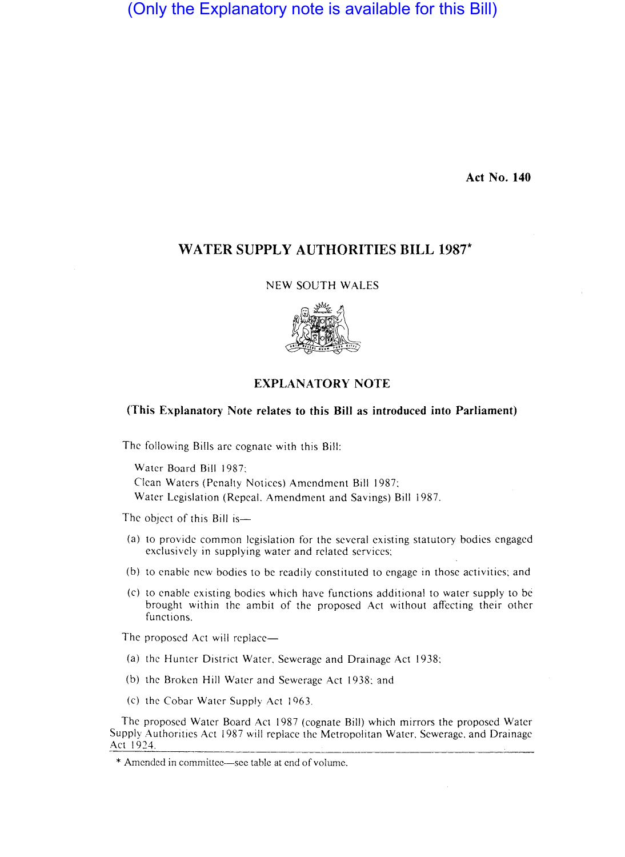(Only the Explanatory note is available for this Bill)

**Act No. 140** 

# **WATER SUPPLY AUTHORITIES BILL 1987\***

NEW SOUTH WALES



# **EXPLANATORY NOTE**

### **(This Explanatory Note relates to this Bill as introduced into Parliament)**

The following Bills arc cognate with this Bill:

Water Board Bill 1987: Clean Waters (Penalty Notices) Amendment Bill 1987: Water Legislation (Repeal, Amendment and Savings) Bill 1987.

The object of this Bill is-

- (a) to provide common legislation for the several existing statutory bodies engaged exclusively in supplying water and related services:
- (b) to enable new bodies to be readily constituted to engage in those activities: and
- (c) to enable existing bodies which have functions additional to water supply to be brought within the ambit of the proposed Act without affecting their other functions.

The proposed Act will replace-

- (a) the Hunter District Water, Sewerage and Drainage Act 1938:
- (b) the Broken Hill Water and Sewerage Act 1938: and
- (c) the Cobar Water Supply Act 1963.

The proposed Water Board Act 1987 (cognate Bill) which mirrors the proposed Water Supply Authorities Act 1987 will replace the Metropolitan Water, Sewerage, and Drainage Act 1924.

<sup>\*</sup> Amended in committee—see table at end of volume.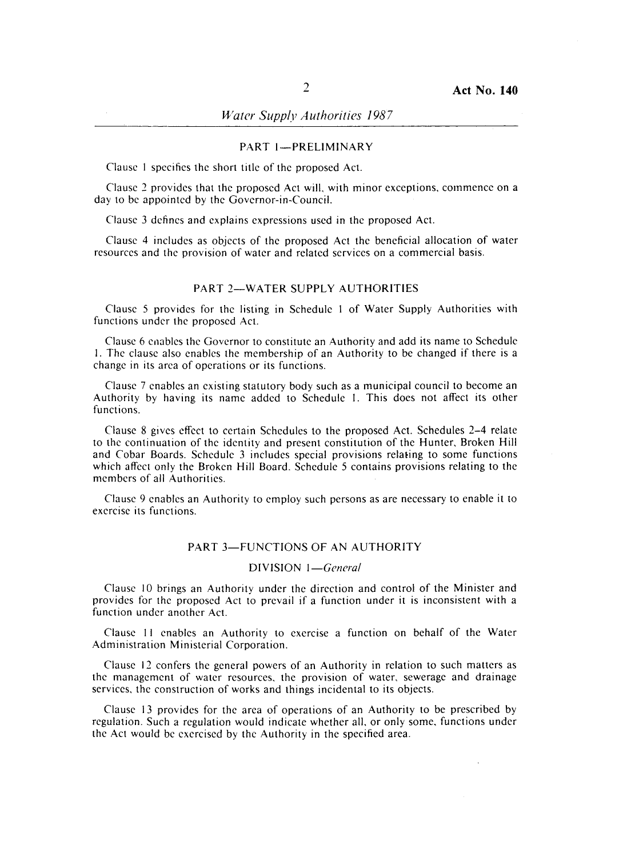## PART I-PRELIMINARY

Clause I specifies the short title of the proposed Act.

Clause 2 provides that the proposed Act will, with minor exceptions, commence on a day to be appointed by the Governor-in-Council.

Clause 3 defines and explains expressions used in the proposed Act.

Clause 4 includes as objects of the proposed Act the beneficial allocation of water resources and the provision of water and related services on a commercial basis.

# PART 2-WATER SUPPLY AUTHORITIES

Clause 5 provides for the listing in Sehedule I of Water Supply Authorities with functions under the proposed Act.

Clause 6 enables the Governor to constitute an Authority and add its name to Schedule I. The clause also enables the membership of an Authority to be changed if there is a change in its area of operations or its functions.

Clause 7 enables an existing statutory body such as a municipal council to become an Authority by having its name added to Schedule I. This does not affect its other functions.

Clause 8 gives effect to certain Schedules to the proposed Act. Schedules 2-4 relate to the continuation of the identity and present constitution of the Hunter, Broken Hill and Cobar Boards. Schedule 3 includes special provisions relating to some functions which affect only the Broken Hill Board. Schedule 5 contains provisions relating to the members of all Authorities.

Clause 9 enables an Authority to employ such persons as are necessary to enable it to exercise its functions.

## PART 3-FUNCTIONS OF AN AUTHORITY

### DIVISION *I-General*

Clause 10 brings an Authority under the direction and control of the Minister and provides for the proposed Act to prevail if a function under it is inconsistent with a function under another Act.

Clause **II** enables an Authority to exercise a function on behalf of the Water Administration Ministerial Corporation.

Clause 12 confers the general powers of an Authority in relation to such matters as the management of water resources, the provision of water, sewerage and drainage services, the construction of works and things incidental to its objects.

Clause 13 provides for the area of operations of an Authority to be prescribed by regulation. Such a regulation would indicate whether all, or only some, functions under the Act would be exercised by the Authority in the specified area.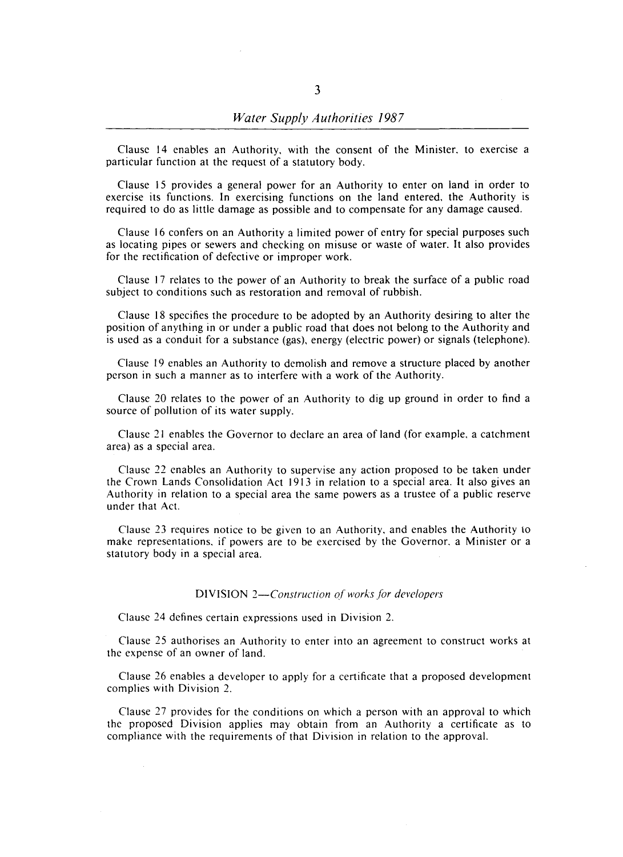Clause 14 enables an Authority, with the consent of the Minister, to exercise a particular function at the request of a statutory body.

Clause 15 provides a general power for an Authority to enter on land in order to exercise its functions. In exercising functions on the land entered, the Authority is required to do as little damage as possible and to compensate for any damage caused.

Clause 16 confers on an Authority a limited power of entry for special purposes such as locating pipes or sewers and checking on misuse or waste of water. It also provides for the rectification of defective or improper work.

Clause 17 relates to the power of an Authority to break the surface of a public road subject to conditions such as restoration and removal of rubbish.

Clause 18 specifies the procedure to be adopted by an Authority desiring to alter the position of anything in or under a public road that does not belong to the Authority and is used 3S a conduit for a substance (gas), energy (electric power) or signals (telephone).

Clause 19 enables an Authority to demolish and remove a structure placed by another person in such a manner as to interfere with a work of the Authority.

Clause 20 relates to the power of an Authority to dig up ground in order to find a source of pollution of its water supply.

Clause 21 enables the Governor to declare an area of land (for example, a catchment area) as a special area.

Clause 22 enables an Authority to supervise any action proposed to be taken under the Crown Lands Consolidation Act 1913 in relation to a special area. It also gives an Authority in relation to a special area the same powers as a trustee of a public reserve under that Act.

Clause 23 requires notice to be given to an Authority, and enables the Authority to make representations, if powers are to be exercised by the Governor. a Minister or a statutory body in a special area.

#### DIVISION *2-Construction of works for developers*

Clause 24 defines certain expressions used in Division 2.

Clause 25 authorises an Authority to enter into an agreement to construct works at the expense of an owner of land.

Clause 26 enables a developer to apply for a certificate that a proposed development complies with Division 2.

Clause 27 provides for the conditions on which a person with an approval to which the proposed Division applies may obtain from an Authority a certificate as to compliance with the requirements of that Division in relation to the approval.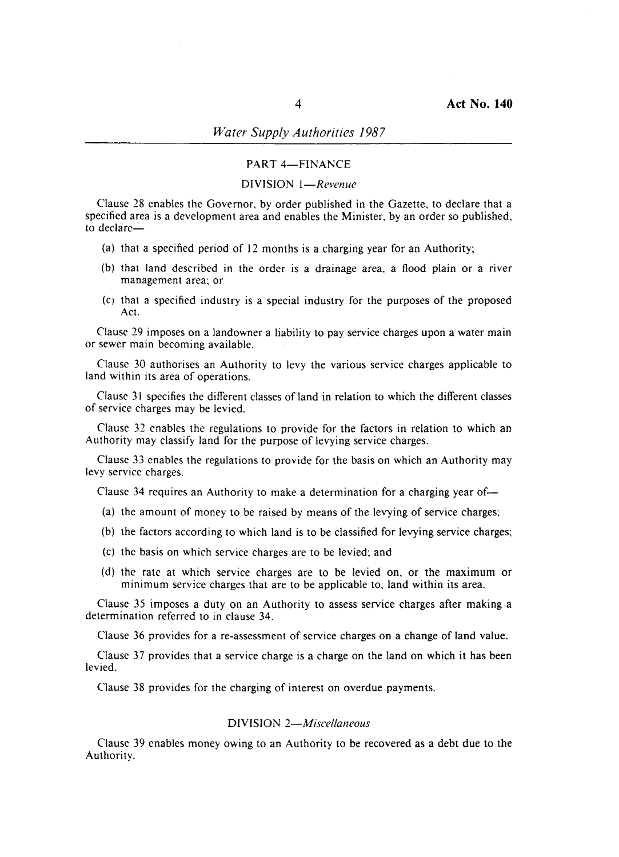# *Water Supply Authorities 1987*

## PART 4-FINANCE

## DIVISION *I-Revenue*

Clause 28 enables the Governor, by order published in the Gazette, to declare that a specified area is a development area and enables the Minister, by an order so published, to declare-

- (a) that a specified period of 12 months is a charging year for an Authority;
- (b) that land described in the order is a drainage area, a flood plain or a river management area; or
- $(c)$  that a specified industry is a special industry for the purposes of the proposed Act.

Clause 29 imposes on a landowner a liability to pay service charges upon a water main or sewer main becoming available.

Clause 30 authorises an Authority to levy the various service charges applicable to land within its area of operations.

Clause 31 specifies the different classes of land in relation to which the different classes of service charges may be levied.

Clause 32 enables the regulations to provide for the factors in relation to which an Authority may classify land for the purpose of levying service charges.

Clause 33 enables the regulations to provide for the basis on which an Authority may levy service charges.

Clause 34 requires an Authority to make a determination for a charging year of-

- (a) the amount of money to be raised by means of the levying of service charges;
- (b) the factors according to which land is to be classified for levying service charges;
- (c) the basis on which service charges are to be levied; and
- (d) the rate at which service charges are to be levied on, or the maximum or minimum service charges that are to be applicable to, land within its area.

Clause 35 imposes a duty on an Authority to assess service charges after making a determination referred to in clause 34.

Clause 36 provides for a re-assessment of service charges on a change of land value.

Clause 37 provides that a service charge is a charge on the land on which it has been levied.

Clause 38 provides for the charging of interest on overdue payments.

## DIVISION *2-Miscellaneous*

Clause 39 enables money owing to an Authority to be recovered as a debt due to the Authority.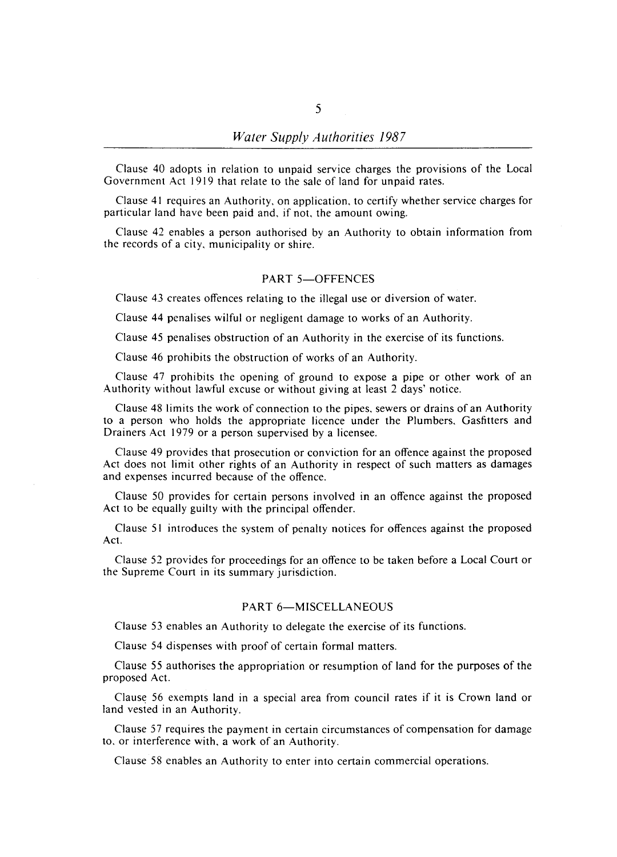Clause 40 adopts in relation to unpaid service charges the provisions of the Local Government Act 1919 that relate to the sale of land for unpaid rates.

Clause 41 requires an Authority, on application, to certify whether service charges for particular land have been paid and, if not, the amount owing.

Clause 42 enables a person authorised by an Authority to obtain information from the records of a city, municipality or shire.

## PART 5-OFFENCES

Clause 43 creates offences relating to the illegal use or diversion of water.

Clause 44 penalises wilful or negligent damage to works of an Authority.

Clause 45 penalises obstruction of an Authority in the exercise of its functions.

Clause 46 prohibits the obstruction of works of an Authority.

Clause 47 prohibits the opening of ground to expose a pipe or other work of an Authority without lawful excuse or without giving at least 2 days' notice.

Clause 48 limits the work of connection to the pipes, sewers or drains of an Authority to a person who holds the appropriate licence under the Plumbers, Gasfitters and Drainers Act 1979 or a person supervised by a licensee.

Clause 49 provides that prosecution or conviction for an offence against the proposed Act does not limit other rights of an Authority in respect of such matters as damages and expenses incurred because of the offence.

Clause 50 provides for certain persons involved in an offence against the proposed Act to be equally guilty with the principal offender.

Clause 51 introduces the system of penalty notices for offences against the proposed Act.

Clause 52 provides for proceedings for an offence to be taken before a Local Court or the Supreme Court in its summary jurisdiction.

### PART 6-MISCELLANEOUS

Clause 53 enables an Authority to delegate the exercise of its functions.

Clause 54 dispenses with proof of certain formal matters.

Clause 55 authorises the appropriation or resumption of land for the purposes of the proposed Act.

Clause 56 exempts land in a special area from council rates if it is Crown land or land vested in an Authority.

Clause 57 requires the payment in certain circumstances of compensation for damage to, or interference with, a work of an Authority.

Clause 58 enables an Authority to enter into certain commercial operations.